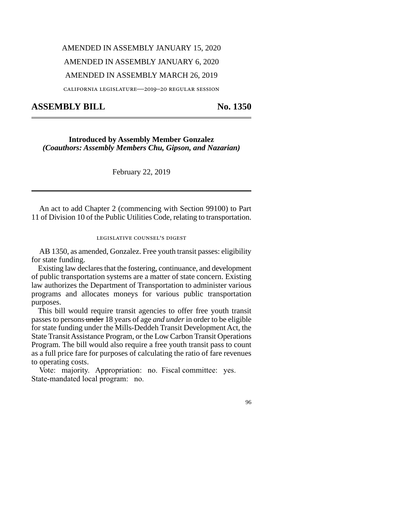# AMENDED IN ASSEMBLY JANUARY 15, 2020

## AMENDED IN ASSEMBLY JANUARY 6, 2020

#### AMENDED IN ASSEMBLY MARCH 26, 2019

california legislature—2019–20 regular session

### **ASSEMBLY BILL No. 1350**

**Introduced by Assembly Member Gonzalez**  *(Coauthors: Assembly Members Chu, Gipson, and Nazarian)*

February 22, 2019

An act to add Chapter 2 (commencing with Section 99100) to Part 11 of Division 10 of the Public Utilities Code, relating to transportation.

#### legislative counsel's digest

AB 1350, as amended, Gonzalez. Free youth transit passes: eligibility for state funding.

Existing law declares that the fostering, continuance, and development of public transportation systems are a matter of state concern. Existing law authorizes the Department of Transportation to administer various programs and allocates moneys for various public transportation purposes.

This bill would require transit agencies to offer free youth transit passes to persons under 18 years of age *and under* in order to be eligible for state funding under the Mills-Deddeh Transit Development Act, the State Transit Assistance Program, or the Low Carbon Transit Operations Program. The bill would also require a free youth transit pass to count as a full price fare for purposes of calculating the ratio of fare revenues to operating costs.

Vote: majority. Appropriation: no. Fiscal committee: yes. State-mandated local program: no.

96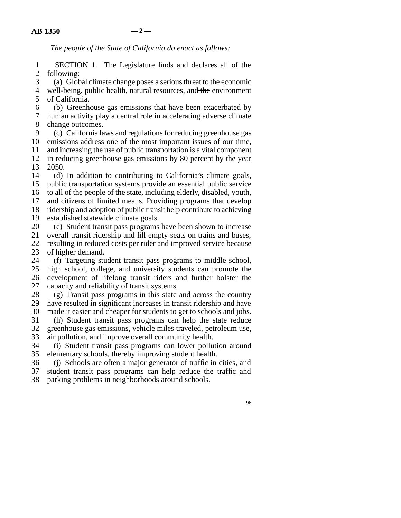*The people of the State of California do enact as follows:* 

1 SECTION 1. The Legislature finds and declares all of the 2 following:

 line 3 (a) Global climate change poses a serious threat to the economic 4 well-being, public health, natural resources, and the environment

5 of California.

6 (b) Greenhouse gas emissions that have been exacerbated by

7 human activity play a central role in accelerating adverse climate 8 change outcomes.

 line 9 (c) California laws and regulations for reducing greenhouse gas 10 emissions address one of the most important issues of our time, 11 and increasing the use of public transportation is a vital component<br>12 in reducing greenhouse gas emissions by 80 percent by the vear in reducing greenhouse gas emissions by 80 percent by the year 13 2050.

14 (d) In addition to contributing to California's climate goals, 15 public transportation systems provide an essential public service 16 to all of the people of the state, including elderly, disabled, youth, 17 and citizens of limited means. Providing programs that develop 18 ridership and adoption of public transit help contribute to achieving

19 established statewide climate goals.

20 (e) Student transit pass programs have been shown to increase<br>21 overall transit ridership and fill empty seats on trains and buses. line 21 overall transit ridership and fill empty seats on trains and buses, 22 resulting in reduced costs per rider and improved service because<br>23 of higher demand.

of higher demand.

24 (f) Targeting student transit pass programs to middle school, 25 high school, college, and university students can promote the 26 development of lifelong transit riders and further bolster the 27 capacity and reliability of transit systems.

 $28$  (g) Transit pass programs in this state and across the country 29 have resulted in significant increases in transit ridership and have

30 made it easier and cheaper for students to get to schools and jobs. 31 (h) Student transit pass programs can help the state reduce 32 greenhouse gas emissions, vehicle miles traveled, petroleum use,

33 air pollution, and improve overall community health.

34 (i) Student transit pass programs can lower pollution around 35 elementary schools, thereby improving student health.

36 (j) Schools are often a major generator of traffic in cities, and student transit pass programs can help reduce the traffic and student transit pass programs can help reduce the traffic and

38 parking problems in neighborhoods around schools.

96